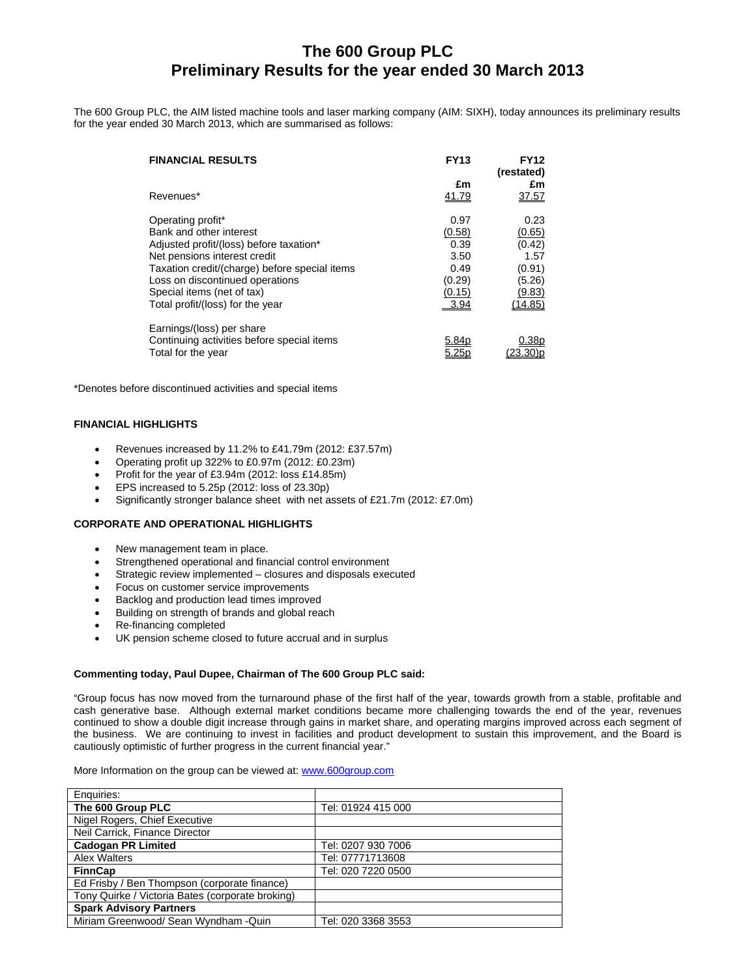# **The 600 Group PLC Preliminary Results for the year ended 30 March 2013**

The 600 Group PLC, the AIM listed machine tools and laser marking company (AIM: SIXH), today announces its preliminary results for the year ended 30 March 2013, which are summarised as follows:

| <b>FINANCIAL RESULTS</b>                      | <b>FY13</b>  | FY12<br>(restated) |
|-----------------------------------------------|--------------|--------------------|
|                                               | £m           | £m                 |
| Revenues*                                     | <u>41.79</u> | 37.57              |
| Operating profit*                             | 0.97         | 0.23               |
| Bank and other interest                       | (0.58)       | (0.65)             |
| Adjusted profit/(loss) before taxation*       | 0.39         | (0.42)             |
| Net pensions interest credit                  | 3.50         | 1.57               |
| Taxation credit/(charge) before special items | 0.49         | (0.91)             |
| Loss on discontinued operations               | (0.29)       | (5.26)             |
| Special items (net of tax)                    | (0.15)       | (9.83)             |
| Total profit/(loss) for the year              | 3.94         | (14.85)            |
| Earnings/(loss) per share                     |              |                    |
| Continuing activities before special items    | 5.84p        | J.38b              |
| Total for the year                            |              |                    |

\*Denotes before discontinued activities and special items

## **FINANCIAL HIGHLIGHTS**

- Revenues increased by 11.2% to £41.79m (2012: £37.57m)
- Operating profit up 322% to £0.97m (2012: £0.23m)
- Profit for the year of £3.94m (2012: loss £14.85m)
- EPS increased to 5.25p (2012: loss of 23.30p)
- Significantly stronger balance sheet with net assets of £21.7m (2012: £7.0m)
- **CORPORATE AND OPERATIONAL HIGHLIGHTS** 
	- New management team in place.
	- Strengthened operational and financial control environment
	- Strategic review implemented closures and disposals executed
	- Focus on customer service improvements
	- Backlog and production lead times improved
	- Building on strength of brands and global reach
	- Re-financing completed
	- UK pension scheme closed to future accrual and in surplus

## **Commenting today, Paul Dupee, Chairman of The 600 Group PLC said:**

"Group focus has now moved from the turnaround phase of the first half of the year, towards growth from a stable, profitable and cash generative base. Although external market conditions became more challenging towards the end of the year, revenues continued to show a double digit increase through gains in market share, and operating margins improved across each segment of the business. We are continuing to invest in facilities and product development to sustain this improvement, and the Board is cautiously optimistic of further progress in the current financial year."

#### More Information on the group can be viewed at: www.600group.com

| Enquiries:                                       |                    |
|--------------------------------------------------|--------------------|
| The 600 Group PLC                                | Tel: 01924 415 000 |
| Nigel Rogers, Chief Executive                    |                    |
| Neil Carrick, Finance Director                   |                    |
| <b>Cadogan PR Limited</b>                        | Tel: 0207 930 7006 |
| Alex Walters                                     | Tel: 07771713608   |
| <b>FinnCap</b>                                   | Tel: 020 7220 0500 |
| Ed Frisby / Ben Thompson (corporate finance)     |                    |
| Tony Quirke / Victoria Bates (corporate broking) |                    |
| <b>Spark Advisory Partners</b>                   |                    |
| Miriam Greenwood/ Sean Wyndham - Quin            | Tel: 020 3368 3553 |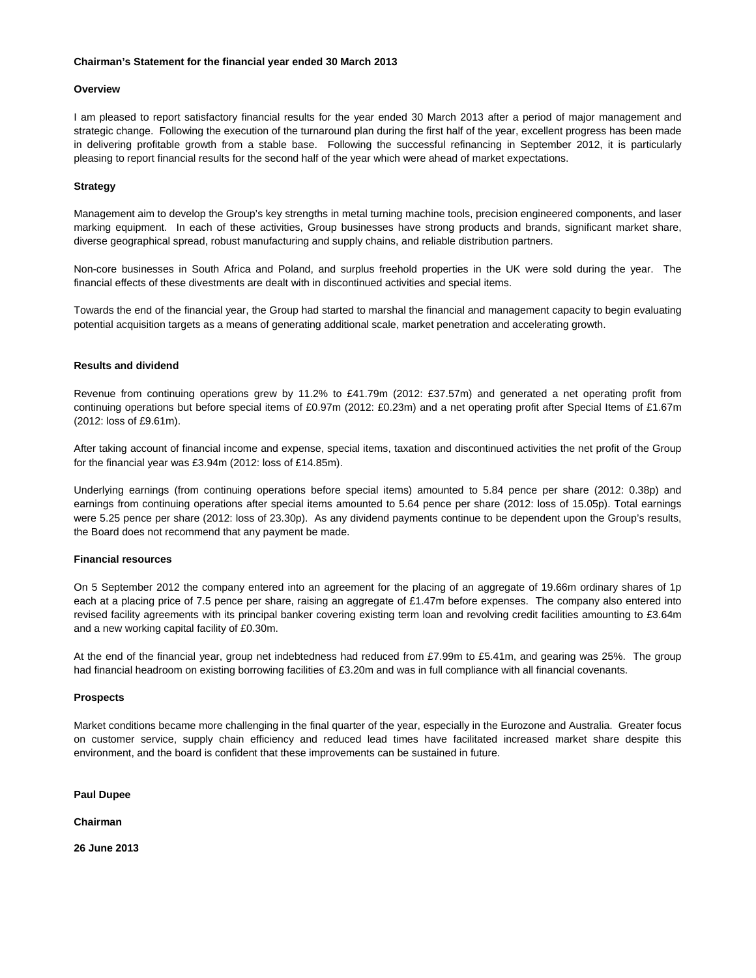## **Chairman's Statement for the financial year ended 30 March 2013**

## **Overview**

I am pleased to report satisfactory financial results for the year ended 30 March 2013 after a period of major management and strategic change. Following the execution of the turnaround plan during the first half of the year, excellent progress has been made in delivering profitable growth from a stable base. Following the successful refinancing in September 2012, it is particularly pleasing to report financial results for the second half of the year which were ahead of market expectations.

## **Strategy**

Management aim to develop the Group's key strengths in metal turning machine tools, precision engineered components, and laser marking equipment. In each of these activities, Group businesses have strong products and brands, significant market share, diverse geographical spread, robust manufacturing and supply chains, and reliable distribution partners.

Non-core businesses in South Africa and Poland, and surplus freehold properties in the UK were sold during the year. The financial effects of these divestments are dealt with in discontinued activities and special items.

Towards the end of the financial year, the Group had started to marshal the financial and management capacity to begin evaluating potential acquisition targets as a means of generating additional scale, market penetration and accelerating growth.

## **Results and dividend**

Revenue from continuing operations grew by 11.2% to £41.79m (2012: £37.57m) and generated a net operating profit from continuing operations but before special items of £0.97m (2012: £0.23m) and a net operating profit after Special Items of £1.67m (2012: loss of £9.61m).

After taking account of financial income and expense, special items, taxation and discontinued activities the net profit of the Group for the financial year was £3.94m (2012: loss of £14.85m).

Underlying earnings (from continuing operations before special items) amounted to 5.84 pence per share (2012: 0.38p) and earnings from continuing operations after special items amounted to 5.64 pence per share (2012: loss of 15.05p). Total earnings were 5.25 pence per share (2012: loss of 23.30p). As any dividend payments continue to be dependent upon the Group's results, the Board does not recommend that any payment be made.

## **Financial resources**

On 5 September 2012 the company entered into an agreement for the placing of an aggregate of 19.66m ordinary shares of 1p each at a placing price of 7.5 pence per share, raising an aggregate of £1.47m before expenses. The company also entered into revised facility agreements with its principal banker covering existing term loan and revolving credit facilities amounting to £3.64m and a new working capital facility of £0.30m.

At the end of the financial year, group net indebtedness had reduced from £7.99m to £5.41m, and gearing was 25%. The group had financial headroom on existing borrowing facilities of £3.20m and was in full compliance with all financial covenants.

## **Prospects**

Market conditions became more challenging in the final quarter of the year, especially in the Eurozone and Australia. Greater focus on customer service, supply chain efficiency and reduced lead times have facilitated increased market share despite this environment, and the board is confident that these improvements can be sustained in future.

**Paul Dupee** 

**Chairman** 

**26 June 2013**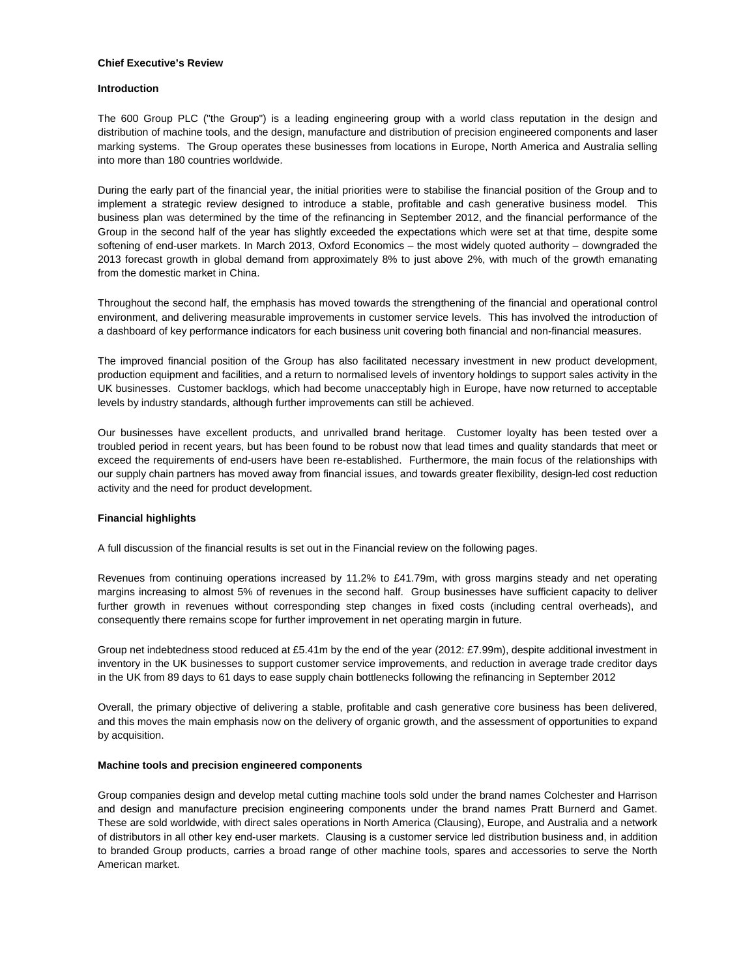## **Chief Executive's Review**

## **Introduction**

The 600 Group PLC ("the Group") is a leading engineering group with a world class reputation in the design and distribution of machine tools, and the design, manufacture and distribution of precision engineered components and laser marking systems. The Group operates these businesses from locations in Europe, North America and Australia selling into more than 180 countries worldwide.

During the early part of the financial year, the initial priorities were to stabilise the financial position of the Group and to implement a strategic review designed to introduce a stable, profitable and cash generative business model. This business plan was determined by the time of the refinancing in September 2012, and the financial performance of the Group in the second half of the year has slightly exceeded the expectations which were set at that time, despite some softening of end-user markets. In March 2013, Oxford Economics – the most widely quoted authority – downgraded the 2013 forecast growth in global demand from approximately 8% to just above 2%, with much of the growth emanating from the domestic market in China.

Throughout the second half, the emphasis has moved towards the strengthening of the financial and operational control environment, and delivering measurable improvements in customer service levels. This has involved the introduction of a dashboard of key performance indicators for each business unit covering both financial and non-financial measures.

The improved financial position of the Group has also facilitated necessary investment in new product development, production equipment and facilities, and a return to normalised levels of inventory holdings to support sales activity in the UK businesses. Customer backlogs, which had become unacceptably high in Europe, have now returned to acceptable levels by industry standards, although further improvements can still be achieved.

Our businesses have excellent products, and unrivalled brand heritage. Customer loyalty has been tested over a troubled period in recent years, but has been found to be robust now that lead times and quality standards that meet or exceed the requirements of end-users have been re-established. Furthermore, the main focus of the relationships with our supply chain partners has moved away from financial issues, and towards greater flexibility, design-led cost reduction activity and the need for product development.

## **Financial highlights**

A full discussion of the financial results is set out in the Financial review on the following pages.

Revenues from continuing operations increased by 11.2% to £41.79m, with gross margins steady and net operating margins increasing to almost 5% of revenues in the second half. Group businesses have sufficient capacity to deliver further growth in revenues without corresponding step changes in fixed costs (including central overheads), and consequently there remains scope for further improvement in net operating margin in future.

Group net indebtedness stood reduced at £5.41m by the end of the year (2012: £7.99m), despite additional investment in inventory in the UK businesses to support customer service improvements, and reduction in average trade creditor days in the UK from 89 days to 61 days to ease supply chain bottlenecks following the refinancing in September 2012

Overall, the primary objective of delivering a stable, profitable and cash generative core business has been delivered, and this moves the main emphasis now on the delivery of organic growth, and the assessment of opportunities to expand by acquisition.

## **Machine tools and precision engineered components**

Group companies design and develop metal cutting machine tools sold under the brand names Colchester and Harrison and design and manufacture precision engineering components under the brand names Pratt Burnerd and Gamet. These are sold worldwide, with direct sales operations in North America (Clausing), Europe, and Australia and a network of distributors in all other key end-user markets. Clausing is a customer service led distribution business and, in addition to branded Group products, carries a broad range of other machine tools, spares and accessories to serve the North American market.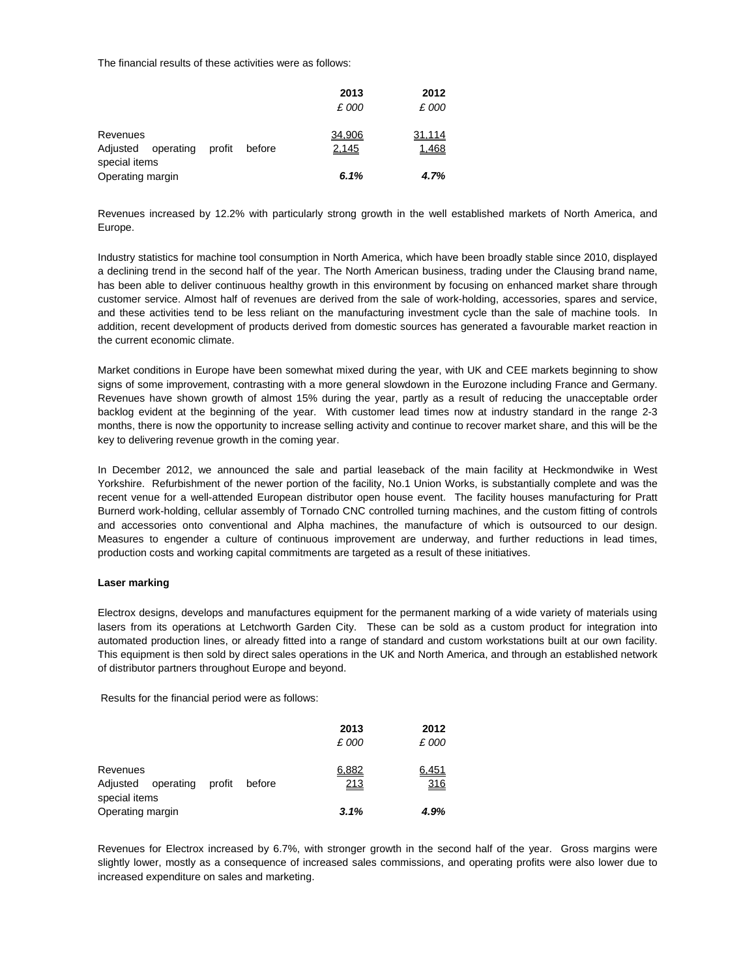The financial results of these activities were as follows:

|                                                                        | 2013            | 2012            |
|------------------------------------------------------------------------|-----------------|-----------------|
|                                                                        | £ 000           | £ 000           |
| Revenues<br>profit<br>operating<br>before<br>Adjusted<br>special items | 34,906<br>2,145 | 31,114<br>1,468 |
| Operating margin                                                       | 6.1%            | 4.7%            |

Revenues increased by 12.2% with particularly strong growth in the well established markets of North America, and Europe.

Industry statistics for machine tool consumption in North America, which have been broadly stable since 2010, displayed a declining trend in the second half of the year. The North American business, trading under the Clausing brand name, has been able to deliver continuous healthy growth in this environment by focusing on enhanced market share through customer service. Almost half of revenues are derived from the sale of work-holding, accessories, spares and service, and these activities tend to be less reliant on the manufacturing investment cycle than the sale of machine tools. In addition, recent development of products derived from domestic sources has generated a favourable market reaction in the current economic climate.

Market conditions in Europe have been somewhat mixed during the year, with UK and CEE markets beginning to show signs of some improvement, contrasting with a more general slowdown in the Eurozone including France and Germany. Revenues have shown growth of almost 15% during the year, partly as a result of reducing the unacceptable order backlog evident at the beginning of the year. With customer lead times now at industry standard in the range 2-3 months, there is now the opportunity to increase selling activity and continue to recover market share, and this will be the key to delivering revenue growth in the coming year.

In December 2012, we announced the sale and partial leaseback of the main facility at Heckmondwike in West Yorkshire. Refurbishment of the newer portion of the facility, No.1 Union Works, is substantially complete and was the recent venue for a well-attended European distributor open house event. The facility houses manufacturing for Pratt Burnerd work-holding, cellular assembly of Tornado CNC controlled turning machines, and the custom fitting of controls and accessories onto conventional and Alpha machines, the manufacture of which is outsourced to our design. Measures to engender a culture of continuous improvement are underway, and further reductions in lead times, production costs and working capital commitments are targeted as a result of these initiatives.

## **Laser marking**

Electrox designs, develops and manufactures equipment for the permanent marking of a wide variety of materials using lasers from its operations at Letchworth Garden City. These can be sold as a custom product for integration into automated production lines, or already fitted into a range of standard and custom workstations built at our own facility. This equipment is then sold by direct sales operations in the UK and North America, and through an established network of distributor partners throughout Europe and beyond.

Results for the financial period were as follows:

|                                 |        | 2013  | 2012       |
|---------------------------------|--------|-------|------------|
|                                 |        | £ 000 | £ 000      |
|                                 |        |       |            |
| Revenues                        |        | 6.882 | 6,451      |
| Adjusted<br>profit<br>operating | before | 213   | <u>316</u> |
| special items                   |        |       |            |
| Operating margin                |        | 3.1%  | 4.9%       |

Revenues for Electrox increased by 6.7%, with stronger growth in the second half of the year. Gross margins were slightly lower, mostly as a consequence of increased sales commissions, and operating profits were also lower due to increased expenditure on sales and marketing.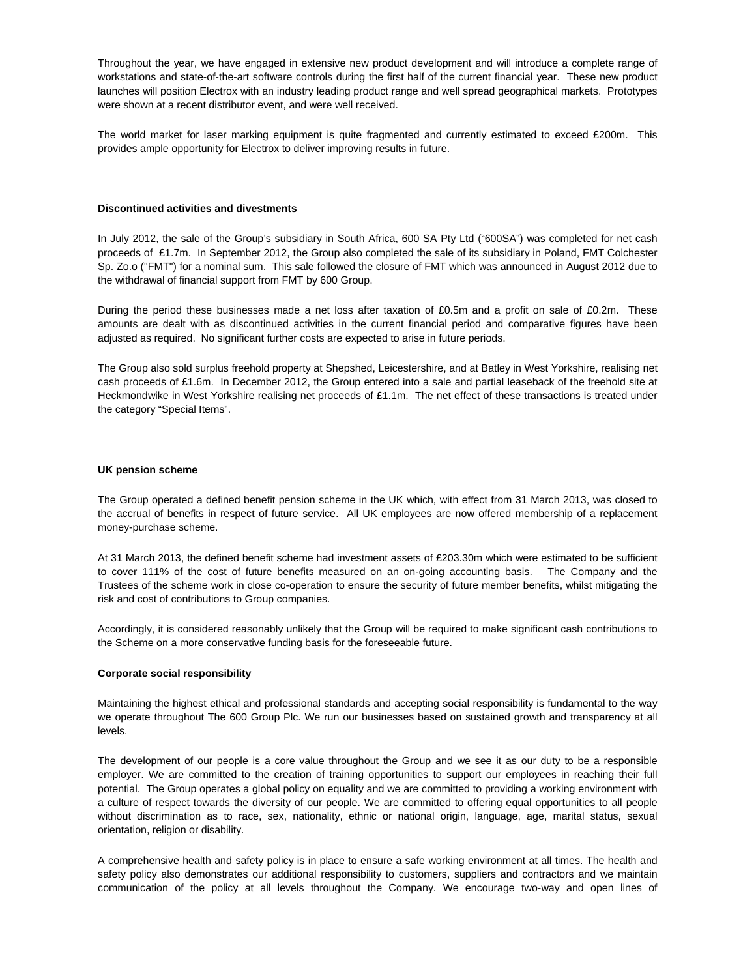Throughout the year, we have engaged in extensive new product development and will introduce a complete range of workstations and state-of-the-art software controls during the first half of the current financial year. These new product launches will position Electrox with an industry leading product range and well spread geographical markets. Prototypes were shown at a recent distributor event, and were well received.

The world market for laser marking equipment is quite fragmented and currently estimated to exceed £200m. This provides ample opportunity for Electrox to deliver improving results in future.

#### **Discontinued activities and divestments**

In July 2012, the sale of the Group's subsidiary in South Africa, 600 SA Pty Ltd ("600SA") was completed for net cash proceeds of £1.7m. In September 2012, the Group also completed the sale of its subsidiary in Poland, FMT Colchester Sp. Zo.o ("FMT") for a nominal sum. This sale followed the closure of FMT which was announced in August 2012 due to the withdrawal of financial support from FMT by 600 Group.

During the period these businesses made a net loss after taxation of £0.5m and a profit on sale of £0.2m. These amounts are dealt with as discontinued activities in the current financial period and comparative figures have been adjusted as required. No significant further costs are expected to arise in future periods.

The Group also sold surplus freehold property at Shepshed, Leicestershire, and at Batley in West Yorkshire, realising net cash proceeds of £1.6m. In December 2012, the Group entered into a sale and partial leaseback of the freehold site at Heckmondwike in West Yorkshire realising net proceeds of £1.1m. The net effect of these transactions is treated under the category "Special Items".

#### **UK pension scheme**

The Group operated a defined benefit pension scheme in the UK which, with effect from 31 March 2013, was closed to the accrual of benefits in respect of future service. All UK employees are now offered membership of a replacement money-purchase scheme.

At 31 March 2013, the defined benefit scheme had investment assets of £203.30m which were estimated to be sufficient to cover 111% of the cost of future benefits measured on an on-going accounting basis. The Company and the Trustees of the scheme work in close co-operation to ensure the security of future member benefits, whilst mitigating the risk and cost of contributions to Group companies.

Accordingly, it is considered reasonably unlikely that the Group will be required to make significant cash contributions to the Scheme on a more conservative funding basis for the foreseeable future.

## **Corporate social responsibility**

Maintaining the highest ethical and professional standards and accepting social responsibility is fundamental to the way we operate throughout The 600 Group Plc. We run our businesses based on sustained growth and transparency at all levels.

The development of our people is a core value throughout the Group and we see it as our duty to be a responsible employer. We are committed to the creation of training opportunities to support our employees in reaching their full potential. The Group operates a global policy on equality and we are committed to providing a working environment with a culture of respect towards the diversity of our people. We are committed to offering equal opportunities to all people without discrimination as to race, sex, nationality, ethnic or national origin, language, age, marital status, sexual orientation, religion or disability.

A comprehensive health and safety policy is in place to ensure a safe working environment at all times. The health and safety policy also demonstrates our additional responsibility to customers, suppliers and contractors and we maintain communication of the policy at all levels throughout the Company. We encourage two-way and open lines of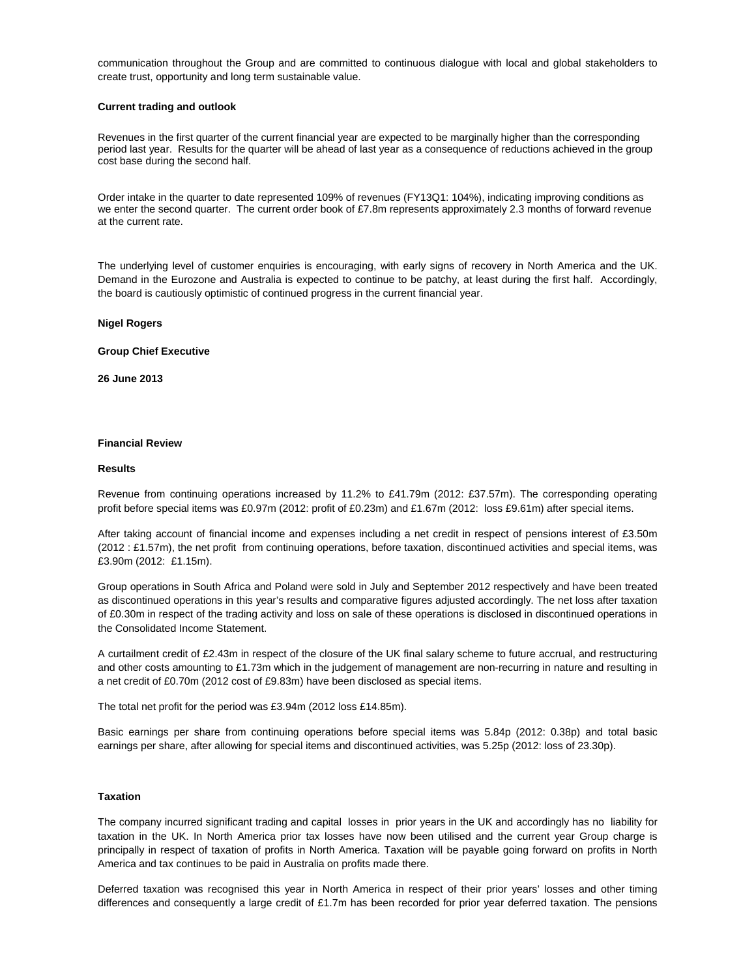communication throughout the Group and are committed to continuous dialogue with local and global stakeholders to create trust, opportunity and long term sustainable value.

#### **Current trading and outlook**

Revenues in the first quarter of the current financial year are expected to be marginally higher than the corresponding period last year. Results for the quarter will be ahead of last year as a consequence of reductions achieved in the group cost base during the second half.

Order intake in the quarter to date represented 109% of revenues (FY13Q1: 104%), indicating improving conditions as we enter the second quarter. The current order book of £7.8m represents approximately 2.3 months of forward revenue at the current rate.

The underlying level of customer enquiries is encouraging, with early signs of recovery in North America and the UK. Demand in the Eurozone and Australia is expected to continue to be patchy, at least during the first half. Accordingly, the board is cautiously optimistic of continued progress in the current financial year.

#### **Nigel Rogers**

#### **Group Chief Executive**

**26 June 2013**

#### **Financial Review**

#### **Results**

Revenue from continuing operations increased by 11.2% to £41.79m (2012: £37.57m). The corresponding operating profit before special items was £0.97m (2012: profit of £0.23m) and £1.67m (2012: loss £9.61m) after special items.

After taking account of financial income and expenses including a net credit in respect of pensions interest of £3.50m (2012 : £1.57m), the net profit from continuing operations, before taxation, discontinued activities and special items, was £3.90m (2012: £1.15m).

Group operations in South Africa and Poland were sold in July and September 2012 respectively and have been treated as discontinued operations in this year's results and comparative figures adjusted accordingly. The net loss after taxation of £0.30m in respect of the trading activity and loss on sale of these operations is disclosed in discontinued operations in the Consolidated Income Statement.

A curtailment credit of £2.43m in respect of the closure of the UK final salary scheme to future accrual, and restructuring and other costs amounting to £1.73m which in the judgement of management are non-recurring in nature and resulting in a net credit of £0.70m (2012 cost of £9.83m) have been disclosed as special items.

The total net profit for the period was £3.94m (2012 loss £14.85m).

Basic earnings per share from continuing operations before special items was 5.84p (2012: 0.38p) and total basic earnings per share, after allowing for special items and discontinued activities, was 5.25p (2012: loss of 23.30p).

## **Taxation**

The company incurred significant trading and capital losses in prior years in the UK and accordingly has no liability for taxation in the UK. In North America prior tax losses have now been utilised and the current year Group charge is principally in respect of taxation of profits in North America. Taxation will be payable going forward on profits in North America and tax continues to be paid in Australia on profits made there.

Deferred taxation was recognised this year in North America in respect of their prior years' losses and other timing differences and consequently a large credit of £1.7m has been recorded for prior year deferred taxation. The pensions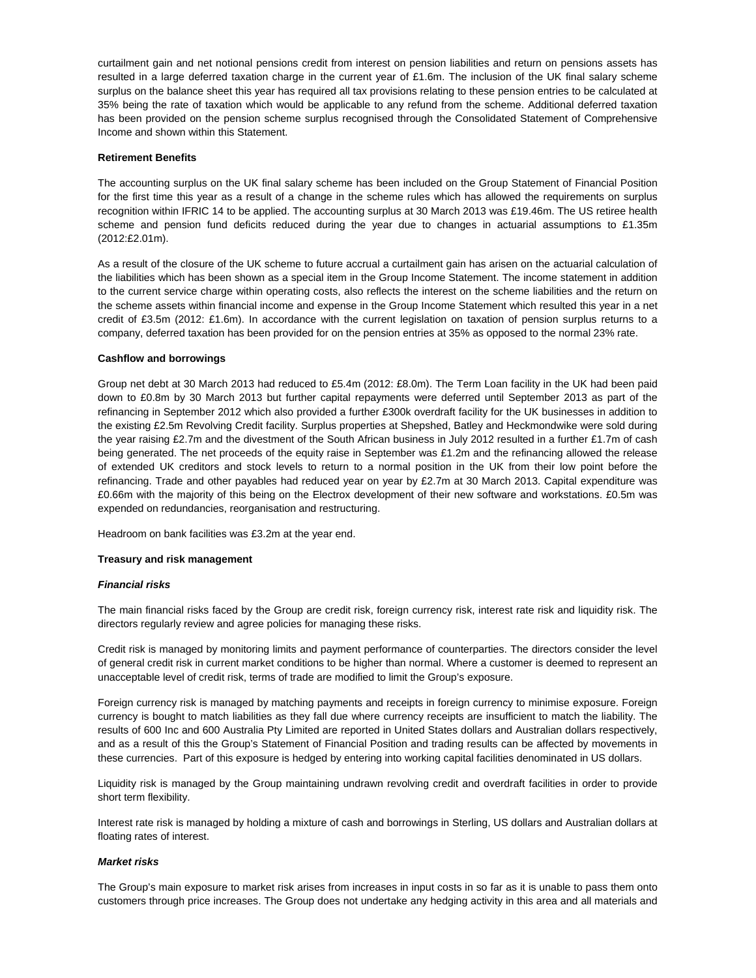curtailment gain and net notional pensions credit from interest on pension liabilities and return on pensions assets has resulted in a large deferred taxation charge in the current year of £1.6m. The inclusion of the UK final salary scheme surplus on the balance sheet this year has required all tax provisions relating to these pension entries to be calculated at 35% being the rate of taxation which would be applicable to any refund from the scheme. Additional deferred taxation has been provided on the pension scheme surplus recognised through the Consolidated Statement of Comprehensive Income and shown within this Statement.

## **Retirement Benefits**

The accounting surplus on the UK final salary scheme has been included on the Group Statement of Financial Position for the first time this year as a result of a change in the scheme rules which has allowed the requirements on surplus recognition within IFRIC 14 to be applied. The accounting surplus at 30 March 2013 was £19.46m. The US retiree health scheme and pension fund deficits reduced during the year due to changes in actuarial assumptions to £1.35m (2012:£2.01m).

As a result of the closure of the UK scheme to future accrual a curtailment gain has arisen on the actuarial calculation of the liabilities which has been shown as a special item in the Group Income Statement. The income statement in addition to the current service charge within operating costs, also reflects the interest on the scheme liabilities and the return on the scheme assets within financial income and expense in the Group Income Statement which resulted this year in a net credit of £3.5m (2012: £1.6m). In accordance with the current legislation on taxation of pension surplus returns to a company, deferred taxation has been provided for on the pension entries at 35% as opposed to the normal 23% rate.

#### **Cashflow and borrowings**

Group net debt at 30 March 2013 had reduced to £5.4m (2012: £8.0m). The Term Loan facility in the UK had been paid down to £0.8m by 30 March 2013 but further capital repayments were deferred until September 2013 as part of the refinancing in September 2012 which also provided a further £300k overdraft facility for the UK businesses in addition to the existing £2.5m Revolving Credit facility. Surplus properties at Shepshed, Batley and Heckmondwike were sold during the year raising £2.7m and the divestment of the South African business in July 2012 resulted in a further £1.7m of cash being generated. The net proceeds of the equity raise in September was £1.2m and the refinancing allowed the release of extended UK creditors and stock levels to return to a normal position in the UK from their low point before the refinancing. Trade and other payables had reduced year on year by £2.7m at 30 March 2013. Capital expenditure was £0.66m with the majority of this being on the Electrox development of their new software and workstations. £0.5m was expended on redundancies, reorganisation and restructuring.

Headroom on bank facilities was £3.2m at the year end.

#### **Treasury and risk management**

#### *Financial risks*

The main financial risks faced by the Group are credit risk, foreign currency risk, interest rate risk and liquidity risk. The directors regularly review and agree policies for managing these risks.

Credit risk is managed by monitoring limits and payment performance of counterparties. The directors consider the level of general credit risk in current market conditions to be higher than normal. Where a customer is deemed to represent an unacceptable level of credit risk, terms of trade are modified to limit the Group's exposure.

Foreign currency risk is managed by matching payments and receipts in foreign currency to minimise exposure. Foreign currency is bought to match liabilities as they fall due where currency receipts are insufficient to match the liability. The results of 600 Inc and 600 Australia Pty Limited are reported in United States dollars and Australian dollars respectively, and as a result of this the Group's Statement of Financial Position and trading results can be affected by movements in these currencies. Part of this exposure is hedged by entering into working capital facilities denominated in US dollars.

Liquidity risk is managed by the Group maintaining undrawn revolving credit and overdraft facilities in order to provide short term flexibility.

Interest rate risk is managed by holding a mixture of cash and borrowings in Sterling, US dollars and Australian dollars at floating rates of interest.

## *Market risks*

The Group's main exposure to market risk arises from increases in input costs in so far as it is unable to pass them onto customers through price increases. The Group does not undertake any hedging activity in this area and all materials and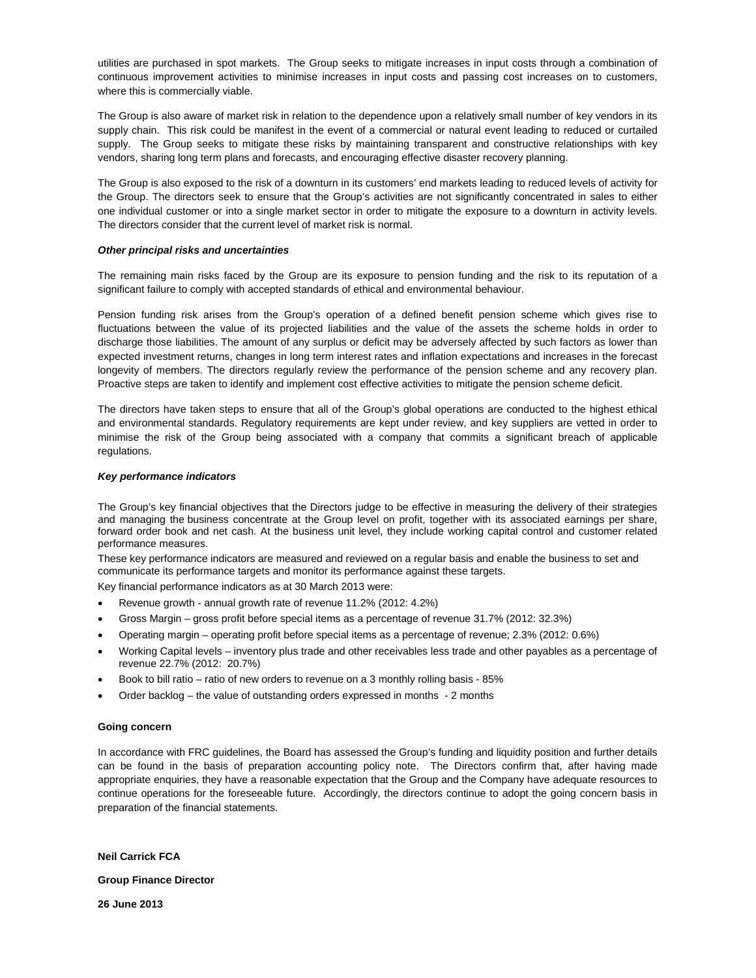utilities are purchased in spot markets. The Group seeks to mitigate increases in input costs through a combination of continuous improvement activities to minimise increases in input costs and passing cost increases on to customers, where this is commercially viable.

The Group is also aware of market risk in relation to the dependence upon a relatively small number of key vendors in its supply chain. This risk could be manifest in the event of a commercial or natural event leading to reduced or curtailed supply. The Group seeks to mitigate these risks by maintaining transparent and constructive relationships with key vendors, sharing long term plans and forecasts, and encouraging effective disaster recovery planning.

The Group is also exposed to the risk of a downturn in its customers' end markets leading to reduced levels of activity for the Group. The directors seek to ensure that the Group's activities are not significantly concentrated in sales to either one individual customer or into a single market sector in order to mitigate the exposure to a downturn in activity levels. The directors consider that the current level of market risk is normal.

## *Other principal risks and uncertainties*

The remaining main risks faced by the Group are its exposure to pension funding and the risk to its reputation of a significant failure to comply with accepted standards of ethical and environmental behaviour.

Pension funding risk arises from the Group's operation of a defined benefit pension scheme which gives rise to fluctuations between the value of its projected liabilities and the value of the assets the scheme holds in order to discharge those liabilities. The amount of any surplus or deficit may be adversely affected by such factors as lower than expected investment returns, changes in long term interest rates and inflation expectations and increases in the forecast longevity of members. The directors regularly review the performance of the pension scheme and any recovery plan. Proactive steps are taken to identify and implement cost effective activities to mitigate the pension scheme deficit.

The directors have taken steps to ensure that all of the Group's global operations are conducted to the highest ethical and environmental standards. Regulatory requirements are kept under review, and key suppliers are vetted in order to minimise the risk of the Group being associated with a company that commits a significant breach of applicable regulations.

#### *Key performance indicators*

The Group's key financial objectives that the Directors judge to be effective in measuring the delivery of their strategies and managing the business concentrate at the Group level on profit, together with its associated earnings per share, forward order book and net cash. At the business unit level, they include working capital control and customer related performance measures.

These key performance indicators are measured and reviewed on a regular basis and enable the business to set and communicate its performance targets and monitor its performance against these targets.

Key financial performance indicators as at 30 March 2013 were:

- Revenue growth annual growth rate of revenue 11.2% (2012: 4.2%)
- Gross Margin gross profit before special items as a percentage of revenue 31.7% (2012: 32.3%)
- Operating margin operating profit before special items as a percentage of revenue; 2.3% (2012: 0.6%)
- Working Capital levels inventory plus trade and other receivables less trade and other payables as a percentage of revenue 22.7% (2012: 20.7%)
- Book to bill ratio ratio of new orders to revenue on a 3 monthly rolling basis 85%
- Order backlog the value of outstanding orders expressed in months 2 months

#### **Going concern**

In accordance with FRC guidelines, the Board has assessed the Group's funding and liquidity position and further details can be found in the basis of preparation accounting policy note. The Directors confirm that, after having made appropriate enquiries, they have a reasonable expectation that the Group and the Company have adequate resources to continue operations for the foreseeable future. Accordingly, the directors continue to adopt the going concern basis in preparation of the financial statements.

**Neil Carrick FCA** 

**Group Finance Director** 

**26 June 2013**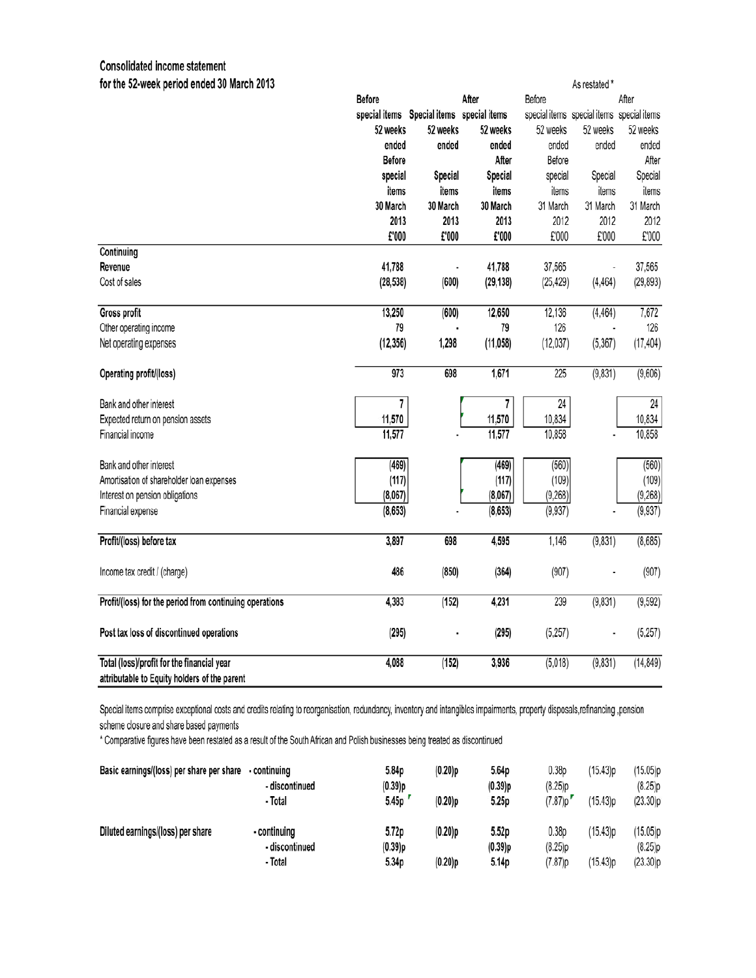## **Consolidated income statement**

| for the 52-week period ended 30 March 2013                                                 |               |                                           |           | As restated * |                                           |           |
|--------------------------------------------------------------------------------------------|---------------|-------------------------------------------|-----------|---------------|-------------------------------------------|-----------|
|                                                                                            | <b>Before</b> |                                           | After     | Before        |                                           | After     |
|                                                                                            |               | special items Special items special items |           |               | special items special items special items |           |
|                                                                                            | 52 weeks      | 52 weeks                                  | 52 weeks  | 52 weeks      | 52 weeks                                  | 52 weeks  |
|                                                                                            | ended         | ended                                     | ended     | ended         | ended                                     | ended     |
|                                                                                            | <b>Before</b> |                                           | After     | Before        |                                           | After     |
|                                                                                            | special       | Special                                   | Special   | special       | Special                                   | Special   |
|                                                                                            | items         | items                                     | items     | items         | items                                     | items     |
|                                                                                            | 30 March      | 30 March                                  | 30 March  | 31 March      | 31 March                                  | 31 March  |
|                                                                                            | 2013          | 2013                                      | 2013      | 2012          | 2012                                      | 2012      |
|                                                                                            | £'000         | £'000                                     | £'000     | £'000         | £'000                                     | £'000     |
| Continuing                                                                                 |               |                                           |           |               |                                           |           |
| Revenue                                                                                    | 41,788        |                                           | 41,788    | 37,565        |                                           | 37,565    |
| Cost of sales                                                                              | (28, 538)     | (600)                                     | (29, 138) | (25, 429)     | (4, 464)                                  | (29, 893) |
| Gross profit                                                                               | 13,250        | (600)                                     | 12,650    | 12,136        | (4, 464)                                  | 7,672     |
| Other operating income                                                                     | 79            |                                           | 79        | 126           |                                           | 126       |
| Net operating expenses                                                                     | (12, 356)     | 1,298                                     | (11, 058) | (12,037)      | (5, 367)                                  | (17, 404) |
| Operating profit/(loss)                                                                    | 973           | 698                                       | 1,671     | 225           | (9,831)                                   | (9,606)   |
| Bank and other interest                                                                    | 7             |                                           | 7         | 24            |                                           | 24        |
| Expected return on pension assets                                                          | 11,570        |                                           | 11,570    | 10,834        |                                           | 10,834    |
| Financial income                                                                           | 11,577        |                                           | 11,577    | 10,858        |                                           | 10,858    |
| Bank and other interest                                                                    | (469)         |                                           | (469)     | (560)         |                                           | (560)     |
| Amortisation of shareholder loan expenses                                                  | (117)         |                                           | (117)     | (109)         |                                           | (109)     |
| Interest on pension obligations                                                            | (8,067)       |                                           | (8,067)   | (9,268)       |                                           | (9,268)   |
| Financial expense                                                                          | (8, 653)      |                                           | (8, 653)  | (9,937)       |                                           | (9, 937)  |
| Profit/(loss) before tax                                                                   | 3,897         | 698                                       | 4,595     | 1,146         | (9,831)                                   | (8,685)   |
| Income tax credit / (charge)                                                               | 486           | (850)                                     | (364)     | (907)         |                                           | (907)     |
| Profit/(loss) for the period from continuing operations                                    | 4,383         | (152)                                     | 4,231     | 239           | (9,831)                                   | (9,592)   |
| Post tax loss of discontinued operations                                                   | (295)         |                                           | (295)     | (5, 257)      |                                           | (5, 257)  |
| Total (loss)/profit for the financial year<br>attributable to Equity holders of the parent | 4,088         | (152)                                     | 3,936     | (5,018)       | (9,831)                                   | (14, 849) |

Special items comprise exceptional costs and credits relating to reorganisation, redundancy, inventory and intangibles impairments, property disposals,refinancing, pension scheme closure and share based payments

\* Comparative figures have been restated as a result of the South African and Polish businesses being treated as discontinued

| Basic earnings/(loss) per share per share | - continuing<br>- discontinued<br>- Total | 5.84p<br>(0.39)p<br>5.45p | (0.20)p<br>$(0.20)$ p | 5.64p<br>(0.39)p<br>5.25p | 0.38 <sub>D</sub><br>(8.25)p<br>$(7.87)$ p | (15.43)p<br>(15.43)p | (15.05)p<br>(8.25)p<br>(23.30)p |
|-------------------------------------------|-------------------------------------------|---------------------------|-----------------------|---------------------------|--------------------------------------------|----------------------|---------------------------------|
| Diluted earnings/(loss) per share         | - continuing<br>- discontinued<br>- Total | 5.72p<br>(0.39)p<br>5.34p | $(0.20)$ p<br>(0.20)p | 5.52p<br>(0.39)p<br>5.14p | 0.38 <sub>D</sub><br>(8.25)p<br>(7.87)p    | (15.43)p<br>(15.43)p | (15.05)p<br>(8.25)p<br>(23.30)p |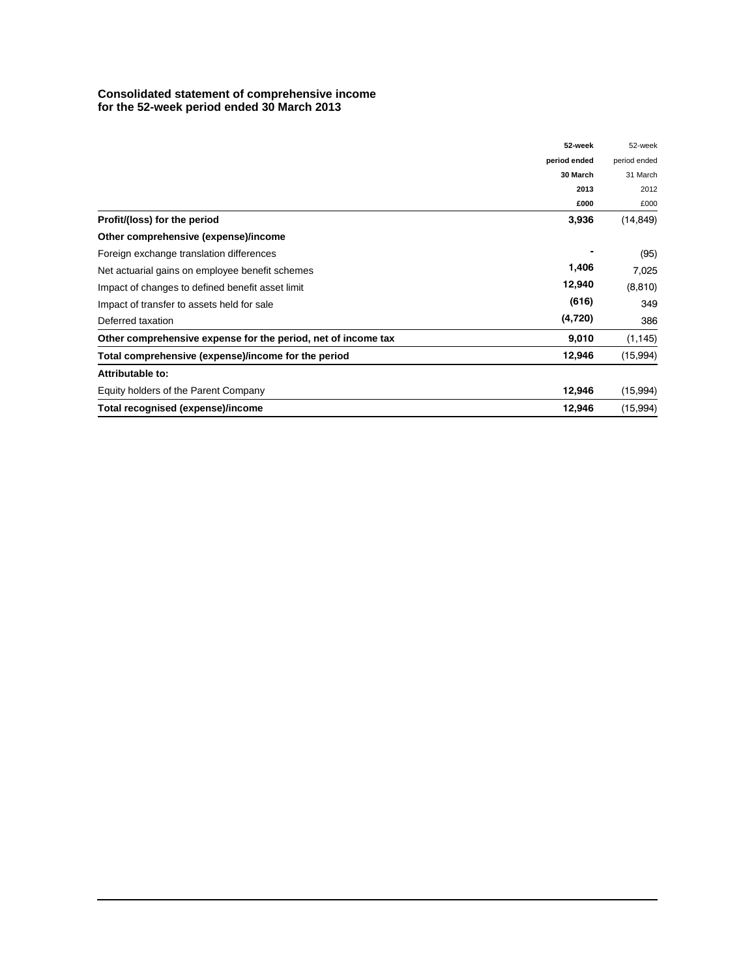## **Consolidated statement of comprehensive income for the 52-week period ended 30 March 2013**

|                                                               | 52-week      | 52-week      |
|---------------------------------------------------------------|--------------|--------------|
|                                                               | period ended | period ended |
|                                                               | 30 March     | 31 March     |
|                                                               | 2013         | 2012         |
|                                                               | £000         | £000         |
| Profit/(loss) for the period                                  | 3,936        | (14, 849)    |
| Other comprehensive (expense)/income                          |              |              |
| Foreign exchange translation differences                      |              | (95)         |
| Net actuarial gains on employee benefit schemes               | 1,406        | 7,025        |
| Impact of changes to defined benefit asset limit              | 12,940       | (8, 810)     |
| Impact of transfer to assets held for sale                    | (616)        | 349          |
| Deferred taxation                                             | (4, 720)     | 386          |
| Other comprehensive expense for the period, net of income tax | 9,010        | (1, 145)     |
| Total comprehensive (expense)/income for the period           | 12,946       | (15,994)     |
| Attributable to:                                              |              |              |
| Equity holders of the Parent Company                          | 12,946       | (15,994)     |
| Total recognised (expense)/income                             | 12,946       | (15,994)     |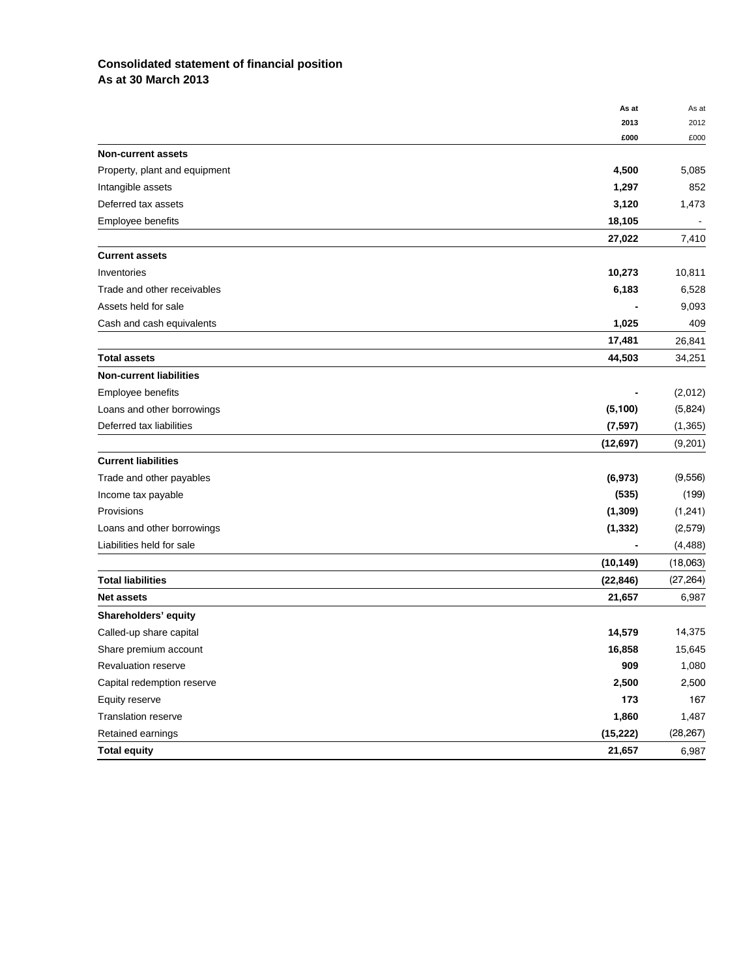## **Consolidated statement of financial position As at 30 March 2013**

|                                | As at     | As at     |
|--------------------------------|-----------|-----------|
|                                | 2013      | 2012      |
|                                | £000      | £000      |
| <b>Non-current assets</b>      |           |           |
| Property, plant and equipment  | 4,500     | 5,085     |
| Intangible assets              | 1,297     | 852       |
| Deferred tax assets            | 3,120     | 1,473     |
| Employee benefits              | 18,105    |           |
|                                | 27,022    | 7,410     |
| <b>Current assets</b>          |           |           |
| Inventories                    | 10,273    | 10,811    |
| Trade and other receivables    | 6,183     | 6,528     |
| Assets held for sale           |           | 9,093     |
| Cash and cash equivalents      | 1,025     | 409       |
|                                | 17,481    | 26,841    |
| <b>Total assets</b>            | 44,503    | 34,251    |
| <b>Non-current liabilities</b> |           |           |
| Employee benefits              |           | (2,012)   |
| Loans and other borrowings     | (5, 100)  | (5,824)   |
| Deferred tax liabilities       | (7, 597)  | (1, 365)  |
|                                | (12, 697) | (9,201)   |
| <b>Current liabilities</b>     |           |           |
| Trade and other payables       | (6, 973)  | (9, 556)  |
| Income tax payable             | (535)     | (199)     |
| Provisions                     | (1, 309)  | (1,241)   |
| Loans and other borrowings     | (1, 332)  | (2,579)   |
| Liabilities held for sale      |           | (4, 488)  |
|                                | (10, 149) | (18,063)  |
| <b>Total liabilities</b>       | (22, 846) | (27, 264) |
| <b>Net assets</b>              | 21,657    | 6,987     |
| Shareholders' equity           |           |           |
| Called-up share capital        | 14,579    | 14,375    |
| Share premium account          | 16,858    | 15,645    |
| Revaluation reserve            | 909       | 1,080     |
| Capital redemption reserve     | 2,500     | 2,500     |
| Equity reserve                 | 173       | 167       |
| Translation reserve            | 1,860     | 1,487     |
| Retained earnings              | (15, 222) | (28, 267) |
| <b>Total equity</b>            | 21,657    | 6,987     |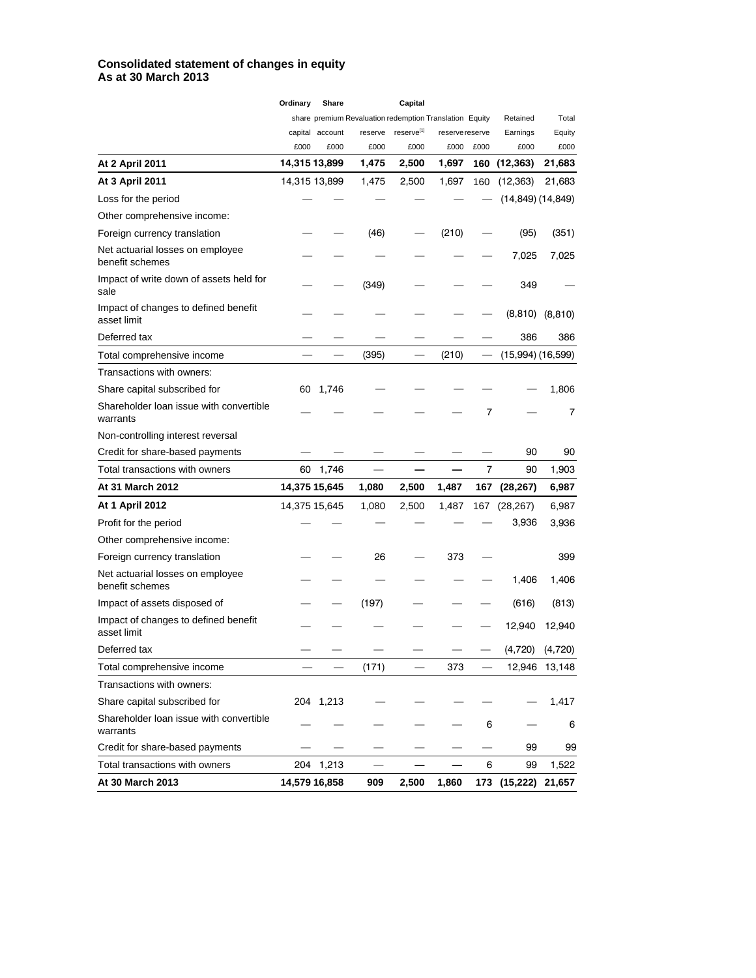## **Consolidated statement of changes in equity As at 30 March 2013**

|                                                     | Ordinary | Share           |                                                         | Capital                |                 |      |                       |               |
|-----------------------------------------------------|----------|-----------------|---------------------------------------------------------|------------------------|-----------------|------|-----------------------|---------------|
|                                                     |          |                 | share premium Revaluation redemption Translation Equity |                        |                 |      | Retained              | Total         |
|                                                     |          | capital account | reserve                                                 | reserve <sup>[1]</sup> | reserve reserve |      | Earnings              | Equity        |
|                                                     | £000     | £000            | £000                                                    | £000                   | £000            | £000 | £000                  | £000          |
| <b>At 2 April 2011</b>                              |          | 14,315 13,899   | 1,475                                                   | 2,500                  | 1,697           | 160  | (12, 363)             | 21,683        |
| At 3 April 2011                                     |          | 14,315 13,899   | 1,475                                                   | 2,500                  | 1,697           | 160  | (12, 363)             | 21,683        |
| Loss for the period                                 |          |                 |                                                         |                        |                 |      | (14,849) (14,849)     |               |
| Other comprehensive income:                         |          |                 |                                                         |                        |                 |      |                       |               |
| Foreign currency translation                        |          |                 | (46)                                                    |                        | (210)           |      | (95)                  | (351)         |
| Net actuarial losses on employee<br>benefit schemes |          |                 |                                                         |                        |                 |      | 7,025                 | 7,025         |
| Impact of write down of assets held for<br>sale     |          |                 | (349)                                                   |                        |                 |      | 349                   |               |
| Impact of changes to defined benefit<br>asset limit |          |                 |                                                         |                        |                 |      | (8, 810)              | (8, 810)      |
| Deferred tax                                        |          |                 |                                                         |                        |                 |      | 386                   | 386           |
| Total comprehensive income                          |          |                 | (395)                                                   |                        | (210)           |      | $(15,994)$ $(16,599)$ |               |
| Transactions with owners:                           |          |                 |                                                         |                        |                 |      |                       |               |
| Share capital subscribed for                        | 60       | 1,746           |                                                         |                        |                 |      |                       | 1,806         |
| Shareholder loan issue with convertible<br>warrants |          |                 |                                                         |                        |                 | 7    |                       | 7             |
| Non-controlling interest reversal                   |          |                 |                                                         |                        |                 |      |                       |               |
| Credit for share-based payments                     |          |                 |                                                         |                        |                 |      | 90                    | 90            |
| Total transactions with owners                      | 60       | 1,746           |                                                         |                        |                 | 7    | 90                    | 1,903         |
| At 31 March 2012                                    |          | 14,375 15,645   | 1,080                                                   | 2,500                  | 1,487           | 167  | (28, 267)             | 6,987         |
| <b>At 1 April 2012</b>                              |          | 14,375 15,645   | 1,080                                                   | 2,500                  | 1,487           | 167  | (28, 267)             | 6,987         |
| Profit for the period                               |          |                 |                                                         |                        |                 |      | 3,936                 | 3,936         |
| Other comprehensive income:                         |          |                 |                                                         |                        |                 |      |                       |               |
| Foreign currency translation                        |          |                 | 26                                                      |                        | 373             |      |                       | 399           |
| Net actuarial losses on employee<br>benefit schemes |          |                 |                                                         |                        |                 |      | 1,406                 | 1,406         |
| Impact of assets disposed of                        |          |                 | (197)                                                   |                        |                 |      | (616)                 | (813)         |
| Impact of changes to defined benefit<br>asset limit |          |                 |                                                         |                        |                 |      | 12,940                | 12,940        |
| Deferred tax                                        |          |                 |                                                         |                        |                 |      | (4,720)               | (4,720)       |
| Total comprehensive income                          |          |                 | (171)                                                   |                        | 373             |      |                       | 12,946 13,148 |
| Transactions with owners:                           |          |                 |                                                         |                        |                 |      |                       |               |
| Share capital subscribed for                        |          | 204 1,213       |                                                         |                        |                 |      |                       | 1,417         |
| Shareholder loan issue with convertible<br>warrants |          |                 |                                                         |                        |                 | 6    |                       | 6             |
| Credit for share-based payments                     |          |                 |                                                         |                        |                 |      | 99                    | 99            |
| Total transactions with owners                      |          | 204 1,213       |                                                         |                        |                 | 6    | 99                    | 1,522         |
| At 30 March 2013                                    |          | 14,579 16,858   | 909                                                     | 2,500                  | 1,860           |      | 173 (15,222)          | 21,657        |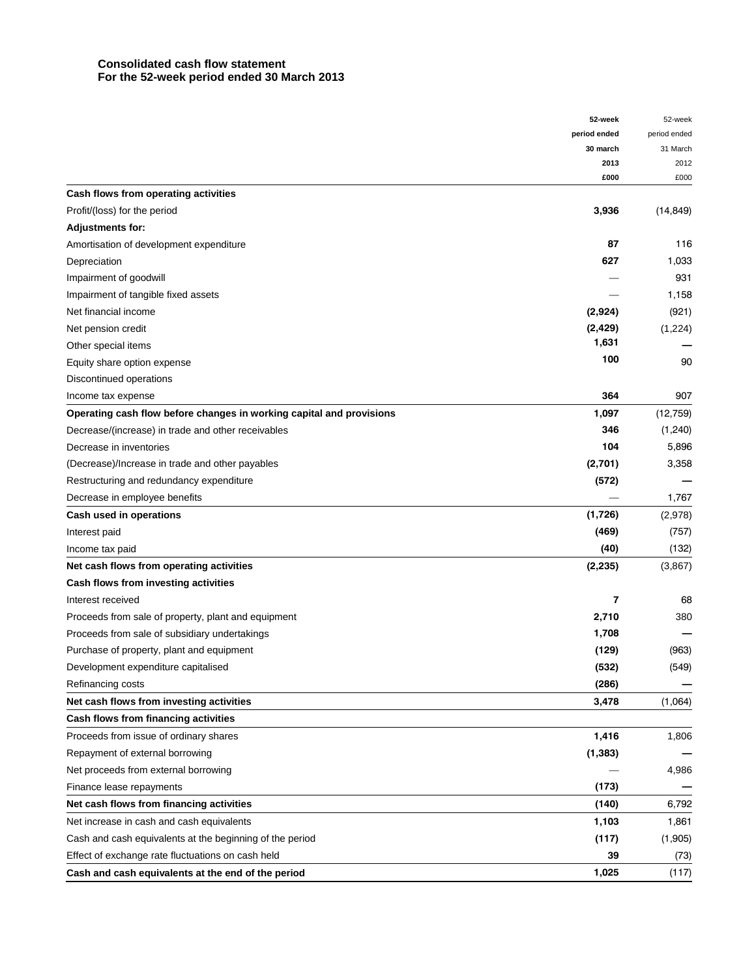## **Consolidated cash flow statement For the 52-week period ended 30 March 2013**

|                                                                      | 52-week                  | 52-week      |
|----------------------------------------------------------------------|--------------------------|--------------|
|                                                                      | period ended             | period ended |
|                                                                      | 30 march                 | 31 March     |
|                                                                      | 2013                     | 2012         |
| Cash flows from operating activities                                 | £000                     | £000         |
|                                                                      |                          |              |
| Profit/(loss) for the period                                         | 3,936                    | (14, 849)    |
| <b>Adjustments for:</b>                                              |                          |              |
| Amortisation of development expenditure                              | 87                       | 116          |
| Depreciation                                                         | 627                      | 1,033        |
| Impairment of goodwill                                               |                          | 931          |
| Impairment of tangible fixed assets                                  |                          | 1,158        |
| Net financial income                                                 | (2,924)                  | (921)        |
| Net pension credit                                                   | (2,429)<br>1,631         | (1,224)      |
| Other special items                                                  |                          |              |
| Equity share option expense                                          | 100                      | 90           |
| Discontinued operations                                              |                          |              |
| Income tax expense                                                   | 364                      | 907          |
| Operating cash flow before changes in working capital and provisions | 1,097                    | (12,759)     |
| Decrease/(increase) in trade and other receivables                   | 346                      | (1,240)      |
| Decrease in inventories                                              | 104                      | 5,896        |
| (Decrease)/Increase in trade and other payables                      | (2,701)                  | 3,358        |
| Restructuring and redundancy expenditure                             | (572)                    |              |
| Decrease in employee benefits                                        |                          | 1,767        |
| Cash used in operations                                              | (1,726)                  | (2,978)      |
| Interest paid                                                        | (469)                    | (757)        |
| Income tax paid                                                      | (40)                     | (132)        |
| Net cash flows from operating activities                             | (2, 235)                 | (3,867)      |
| Cash flows from investing activities                                 |                          |              |
| Interest received                                                    | $\overline{\phantom{a}}$ | 68           |
| Proceeds from sale of property, plant and equipment                  | 2,710                    | 380          |
| Proceeds from sale of subsidiary undertakings                        | 1,708                    |              |
| Purchase of property, plant and equipment                            | (129)                    | (963)        |
| Development expenditure capitalised                                  | (532)                    | (549)        |
| Refinancing costs                                                    | (286)                    |              |
| Net cash flows from investing activities                             | 3,478                    | (1,064)      |
| Cash flows from financing activities                                 |                          |              |
| Proceeds from issue of ordinary shares                               | 1,416                    | 1,806        |
| Repayment of external borrowing                                      | (1, 383)                 |              |
| Net proceeds from external borrowing                                 |                          | 4,986        |
| Finance lease repayments                                             | (173)                    |              |
| Net cash flows from financing activities                             | (140)                    | 6,792        |
| Net increase in cash and cash equivalents                            | 1,103                    | 1,861        |
| Cash and cash equivalents at the beginning of the period             | (117)                    | (1,905)      |
| Effect of exchange rate fluctuations on cash held                    | 39                       | (73)         |
| Cash and cash equivalents at the end of the period                   | 1,025                    | (117)        |
|                                                                      |                          |              |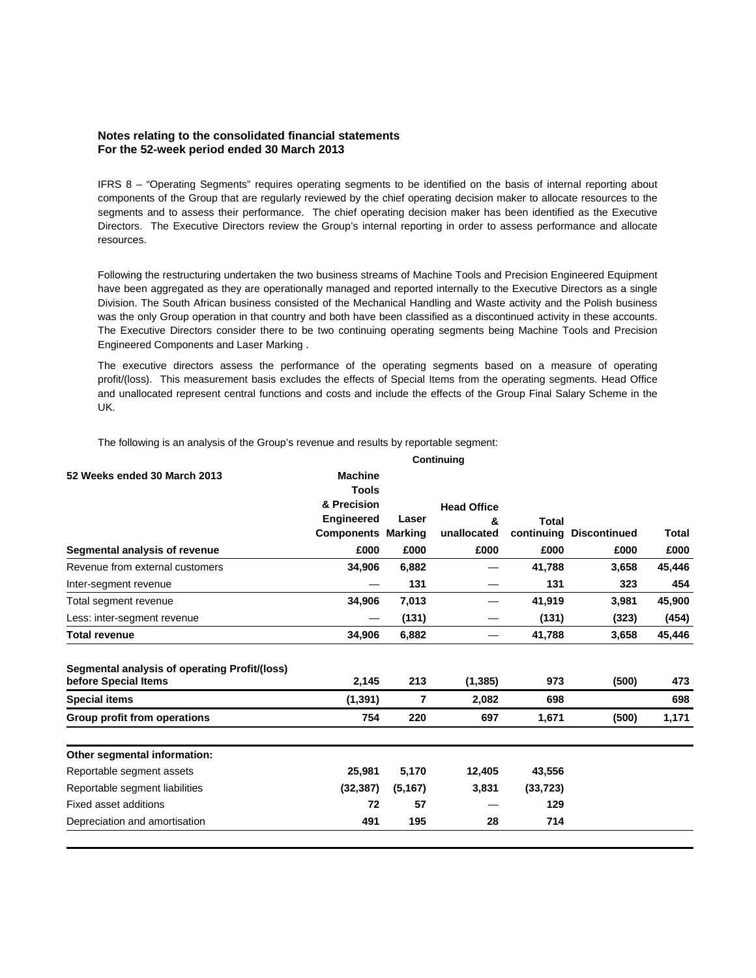## **Notes relating to the consolidated financial statements For the 52-week period ended 30 March 2013**

IFRS 8 – "Operating Segments" requires operating segments to be identified on the basis of internal reporting about components of the Group that are regularly reviewed by the chief operating decision maker to allocate resources to the segments and to assess their performance. The chief operating decision maker has been identified as the Executive Directors. The Executive Directors review the Group's internal reporting in order to assess performance and allocate resources.

Following the restructuring undertaken the two business streams of Machine Tools and Precision Engineered Equipment have been aggregated as they are operationally managed and reported internally to the Executive Directors as a single Division. The South African business consisted of the Mechanical Handling and Waste activity and the Polish business was the only Group operation in that country and both have been classified as a discontinued activity in these accounts. The Executive Directors consider there to be two continuing operating segments being Machine Tools and Precision Engineered Components and Laser Marking .

The executive directors assess the performance of the operating segments based on a measure of operating profit/(loss). This measurement basis excludes the effects of Special Items from the operating segments. Head Office and unallocated represent central functions and costs and include the effects of the Group Final Salary Scheme in the UK.

The following is an analysis of the Group's revenue and results by reportable segment:

| 52 Weeks ended 30 March 2013                                          | <b>Machine</b><br><b>Tools</b> |          |                    |           |                         |        |
|-----------------------------------------------------------------------|--------------------------------|----------|--------------------|-----------|-------------------------|--------|
|                                                                       | & Precision                    |          | <b>Head Office</b> |           |                         |        |
|                                                                       | <b>Engineered</b>              | Laser    | &                  | Total     |                         |        |
|                                                                       | <b>Components Marking</b>      |          | unallocated        |           | continuing Discontinued | Total  |
| Segmental analysis of revenue                                         | £000                           | £000     | £000               | £000      | £000                    | £000   |
| Revenue from external customers                                       | 34,906                         | 6,882    |                    | 41,788    | 3,658                   | 45,446 |
| Inter-segment revenue                                                 |                                | 131      |                    | 131       | 323                     | 454    |
| Total segment revenue                                                 | 34,906                         | 7,013    |                    | 41,919    | 3,981                   | 45,900 |
| Less: inter-segment revenue                                           |                                | (131)    |                    | (131)     | (323)                   | (454)  |
| <b>Total revenue</b>                                                  | 34,906                         | 6,882    |                    | 41,788    | 3,658                   | 45,446 |
| Segmental analysis of operating Profit/(loss)<br>before Special Items | 2,145                          | 213      | (1, 385)           | 973       | (500)                   | 473    |
| <b>Special items</b>                                                  | (1, 391)                       | 7        | 2,082              | 698       |                         | 698    |
| Group profit from operations                                          | 754                            | 220      | 697                | 1,671     | (500)                   | 1,171  |
| Other segmental information:                                          |                                |          |                    |           |                         |        |
| Reportable segment assets                                             | 25,981                         | 5,170    | 12,405             | 43,556    |                         |        |
| Reportable segment liabilities                                        | (32, 387)                      | (5, 167) | 3,831              | (33, 723) |                         |        |
| Fixed asset additions                                                 | 72                             | 57       |                    | 129       |                         |        |
| Depreciation and amortisation                                         | 491                            | 195      | 28                 | 714       |                         |        |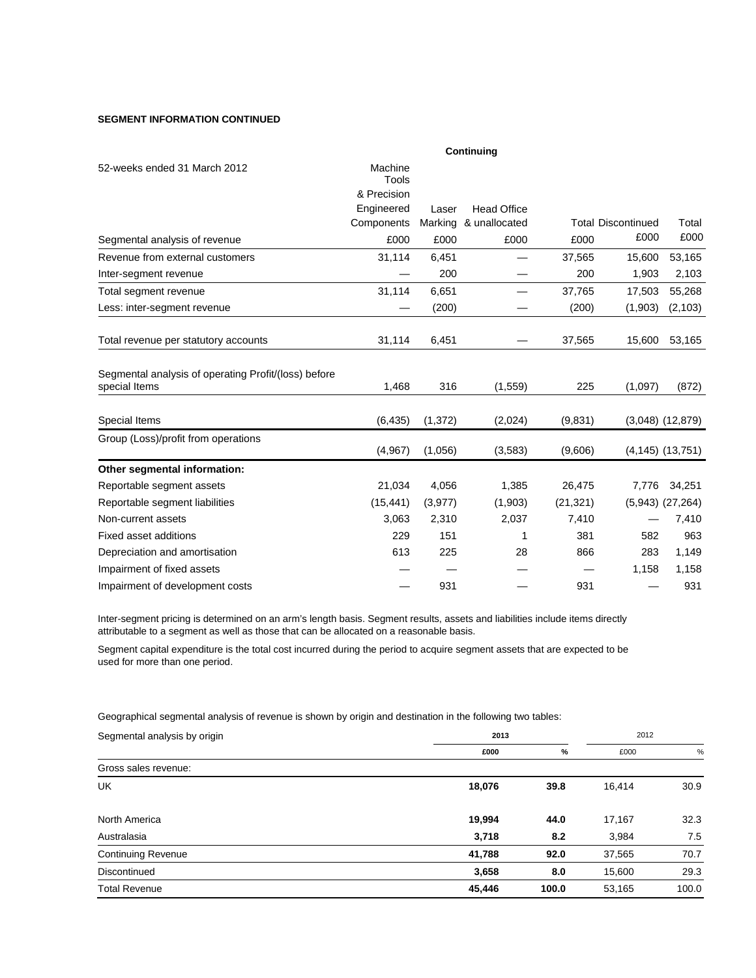## **SEGMENT INFORMATION CONTINUED**

|                                                                       |                             |          | Continuing            |           |                           |                        |
|-----------------------------------------------------------------------|-----------------------------|----------|-----------------------|-----------|---------------------------|------------------------|
| 52-weeks ended 31 March 2012                                          | Machine                     |          |                       |           |                           |                        |
|                                                                       | <b>Tools</b><br>& Precision |          |                       |           |                           |                        |
|                                                                       | Engineered                  | Laser    | <b>Head Office</b>    |           |                           |                        |
|                                                                       | Components                  |          | Marking & unallocated |           | <b>Total Discontinued</b> | Total                  |
| Segmental analysis of revenue                                         | £000                        | £000     | £000                  | £000      | £000                      | £000                   |
| Revenue from external customers                                       | 31,114                      | 6,451    |                       | 37,565    | 15,600                    | 53,165                 |
| Inter-segment revenue                                                 |                             | 200      |                       | 200       | 1,903                     | 2,103                  |
| Total segment revenue                                                 | 31,114                      | 6,651    |                       | 37,765    | 17,503                    | 55,268                 |
| Less: inter-segment revenue                                           |                             | (200)    |                       | (200)     | (1,903)                   | (2, 103)               |
| Total revenue per statutory accounts                                  | 31,114                      | 6,451    |                       | 37,565    | 15,600                    | 53,165                 |
| Segmental analysis of operating Profit/(loss) before<br>special Items | 1.468                       | 316      | (1,559)               | 225       | (1,097)                   | (872)                  |
| Special Items                                                         | (6, 435)                    | (1, 372) | (2,024)               | (9,831)   |                           | $(3,048)$ $(12,879)$   |
| Group (Loss)/profit from operations                                   | (4,967)                     | (1,056)  | (3,583)               | (9,606)   |                           | $(4, 145)$ $(13, 751)$ |
| Other segmental information:                                          |                             |          |                       |           |                           |                        |
| Reportable segment assets                                             | 21,034                      | 4,056    | 1,385                 | 26,475    | 7,776                     | 34,251                 |
| Reportable segment liabilities                                        | (15, 441)                   | (3, 977) | (1,903)               | (21, 321) |                           | $(5,943)$ $(27,264)$   |
| Non-current assets                                                    | 3,063                       | 2,310    | 2,037                 | 7,410     |                           | 7,410                  |
| <b>Fixed asset additions</b>                                          | 229                         | 151      | 1                     | 381       | 582                       | 963                    |
| Depreciation and amortisation                                         | 613                         | 225      | 28                    | 866       | 283                       | 1,149                  |
| Impairment of fixed assets                                            |                             |          |                       |           | 1,158                     | 1,158                  |
| Impairment of development costs                                       |                             | 931      |                       | 931       |                           | 931                    |

Inter-segment pricing is determined on an arm's length basis. Segment results, assets and liabilities include items directly attributable to a segment as well as those that can be allocated on a reasonable basis.

Segment capital expenditure is the total cost incurred during the period to acquire segment assets that are expected to be used for more than one period.

Geographical segmental analysis of revenue is shown by origin and destination in the following two tables:

| Segmental analysis by origin | 2013   |       |        | 2012  |  |
|------------------------------|--------|-------|--------|-------|--|
|                              | £000   | $\%$  | £000   | %     |  |
| Gross sales revenue:         |        |       |        |       |  |
| <b>UK</b>                    | 18,076 | 39.8  | 16,414 | 30.9  |  |
| North America                | 19,994 | 44.0  | 17,167 | 32.3  |  |
| Australasia                  | 3,718  | 8.2   | 3,984  | 7.5   |  |
| <b>Continuing Revenue</b>    | 41,788 | 92.0  | 37,565 | 70.7  |  |
| Discontinued                 | 3,658  | 8.0   | 15,600 | 29.3  |  |
| <b>Total Revenue</b>         | 45,446 | 100.0 | 53,165 | 100.0 |  |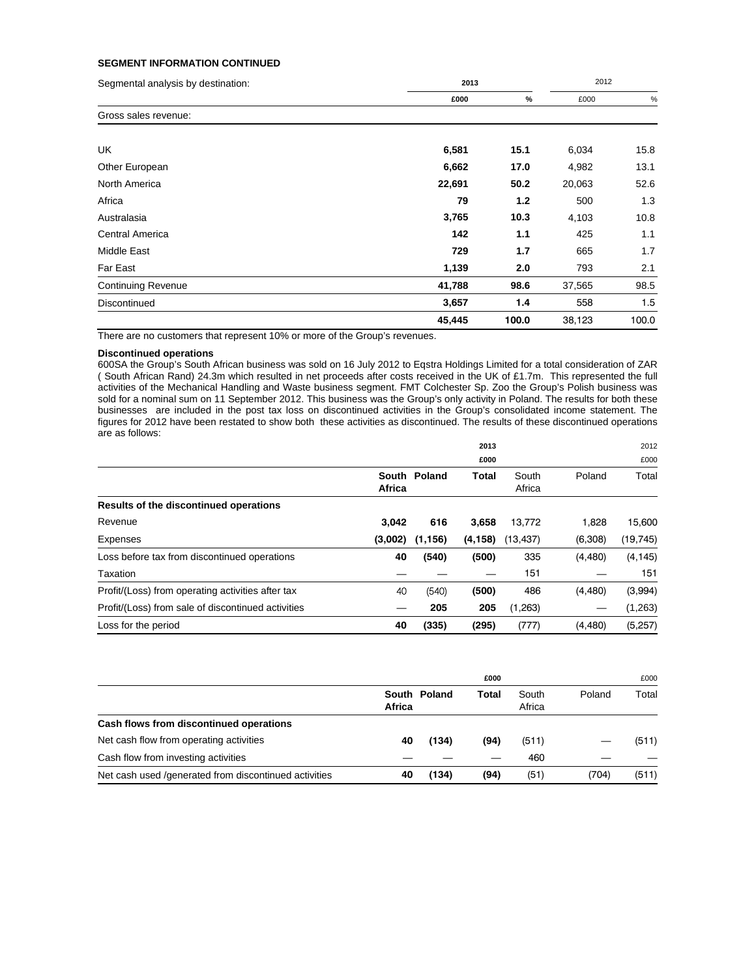## **SEGMENT INFORMATION CONTINUED**

| Segmental analysis by destination: | 2013   |       |        | 2012  |  |
|------------------------------------|--------|-------|--------|-------|--|
|                                    | £000   | $\%$  | £000   | $\%$  |  |
| Gross sales revenue:               |        |       |        |       |  |
| UK                                 | 6,581  | 15.1  | 6,034  | 15.8  |  |
| Other European                     | 6,662  | 17.0  | 4,982  | 13.1  |  |
| North America                      | 22,691 | 50.2  | 20,063 | 52.6  |  |
| Africa                             | 79     | 1.2   | 500    | 1.3   |  |
| Australasia                        | 3,765  | 10.3  | 4,103  | 10.8  |  |
| Central America                    | 142    | 1.1   | 425    | 1.1   |  |
| Middle East                        | 729    | 1.7   | 665    | 1.7   |  |
| Far East                           | 1,139  | 2.0   | 793    | 2.1   |  |
| <b>Continuing Revenue</b>          | 41,788 | 98.6  | 37,565 | 98.5  |  |
| Discontinued                       | 3,657  | 1.4   | 558    | 1.5   |  |
|                                    | 45,445 | 100.0 | 38,123 | 100.0 |  |

There are no customers that represent 10% or more of the Group's revenues.

## **Discontinued operations**

600SA the Group's South African business was sold on 16 July 2012 to Eqstra Holdings Limited for a total consideration of ZAR ( South African Rand) 24.3m which resulted in net proceeds after costs received in the UK of £1.7m. This represented the full activities of the Mechanical Handling and Waste business segment. FMT Colchester Sp. Zoo the Group's Polish business was sold for a nominal sum on 11 September 2012. This business was the Group's only activity in Poland. The results for both these businesses are included in the post tax loss on discontinued activities in the Group's consolidated income statement. The figures for 2012 have been restated to show both these activities as discontinued. The results of these discontinued operations are as follows:

|                                                    |         |              | 2013     |                 |          | 2012      |  |
|----------------------------------------------------|---------|--------------|----------|-----------------|----------|-----------|--|
|                                                    | £000    |              |          |                 | £000     |           |  |
|                                                    | Africa  | South Poland | Total    | South<br>Africa | Poland   | Total     |  |
| Results of the discontinued operations             |         |              |          |                 |          |           |  |
| Revenue                                            | 3.042   | 616          | 3.658    | 13,772          | 1.828    | 15,600    |  |
| Expenses                                           | (3,002) | (1, 156)     | (4, 158) | (13, 437)       | (6,308)  | (19, 745) |  |
| Loss before tax from discontinued operations       | 40      | (540)        | (500)    | 335             | (4,480)  | (4, 145)  |  |
| Taxation                                           |         |              |          | 151             |          | 151       |  |
| Profit/(Loss) from operating activities after tax  | 40      | (540)        | (500)    | 486             | (4, 480) | (3,994)   |  |
| Profit/(Loss) from sale of discontinued activities |         | 205          | 205      | (1,263)         |          | (1,263)   |  |
| Loss for the period                                | 40      | (335)        | (295)    | (777)           | (4, 480) | (5,257)   |  |

|                                                        |        |              | £000  |                 |        | £000  |
|--------------------------------------------------------|--------|--------------|-------|-----------------|--------|-------|
|                                                        | Africa | South Poland | Total | South<br>Africa | Poland | Total |
| Cash flows from discontinued operations                |        |              |       |                 |        |       |
| Net cash flow from operating activities                | 40     | (134)        | (94)  | (511)           |        | (511) |
| Cash flow from investing activities                    |        |              |       | 460             |        |       |
| Net cash used / generated from discontinued activities | 40     | (134)        | (94)  | (51)            | (704)  | (511) |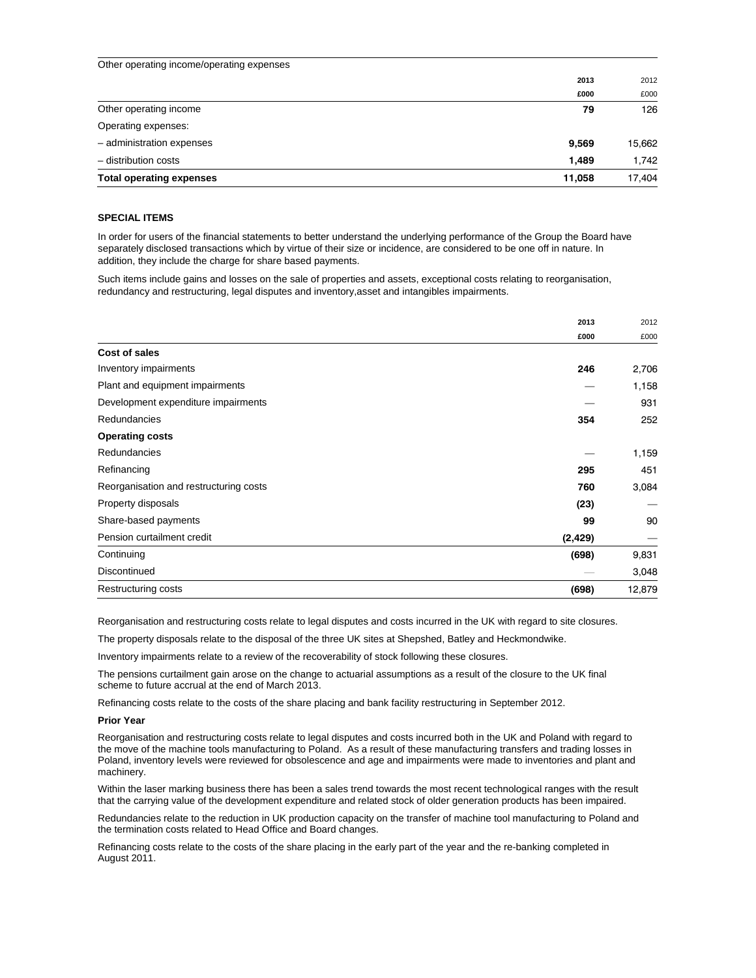| Other operating income/operating expenses |        |        |
|-------------------------------------------|--------|--------|
|                                           | 2013   | 2012   |
|                                           | £000   | £000   |
| Other operating income                    | 79     | 126    |
| Operating expenses:                       |        |        |
| - administration expenses                 | 9,569  | 15,662 |
| - distribution costs                      | 1.489  | 1,742  |
| <b>Total operating expenses</b>           | 11.058 | 17.404 |

## **SPECIAL ITEMS**

In order for users of the financial statements to better understand the underlying performance of the Group the Board have separately disclosed transactions which by virtue of their size or incidence, are considered to be one off in nature. In addition, they include the charge for share based payments.

Such items include gains and losses on the sale of properties and assets, exceptional costs relating to reorganisation, redundancy and restructuring, legal disputes and inventory,asset and intangibles impairments.

| 2013                                          | 2012   |
|-----------------------------------------------|--------|
| £000                                          | £000   |
| <b>Cost of sales</b>                          |        |
| Inventory impairments<br>246                  | 2,706  |
| Plant and equipment impairments               | 1,158  |
| Development expenditure impairments           | 931    |
| Redundancies<br>354                           | 252    |
| <b>Operating costs</b>                        |        |
| Redundancies                                  | 1,159  |
| Refinancing<br>295                            | 451    |
| Reorganisation and restructuring costs<br>760 | 3,084  |
| Property disposals<br>(23)                    |        |
| Share-based payments<br>99                    | 90     |
| Pension curtailment credit<br>(2, 429)        |        |
| Continuing<br>(698)                           | 9,831  |
| Discontinued                                  | 3,048  |
| Restructuring costs<br>(698)                  | 12,879 |

Reorganisation and restructuring costs relate to legal disputes and costs incurred in the UK with regard to site closures.

The property disposals relate to the disposal of the three UK sites at Shepshed, Batley and Heckmondwike.

Inventory impairments relate to a review of the recoverability of stock following these closures.

The pensions curtailment gain arose on the change to actuarial assumptions as a result of the closure to the UK final scheme to future accrual at the end of March 2013.

Refinancing costs relate to the costs of the share placing and bank facility restructuring in September 2012.

#### **Prior Year**

Reorganisation and restructuring costs relate to legal disputes and costs incurred both in the UK and Poland with regard to the move of the machine tools manufacturing to Poland. As a result of these manufacturing transfers and trading losses in Poland, inventory levels were reviewed for obsolescence and age and impairments were made to inventories and plant and machinery.

Within the laser marking business there has been a sales trend towards the most recent technological ranges with the result that the carrying value of the development expenditure and related stock of older generation products has been impaired.

Redundancies relate to the reduction in UK production capacity on the transfer of machine tool manufacturing to Poland and the termination costs related to Head Office and Board changes.

Refinancing costs relate to the costs of the share placing in the early part of the year and the re-banking completed in August 2011.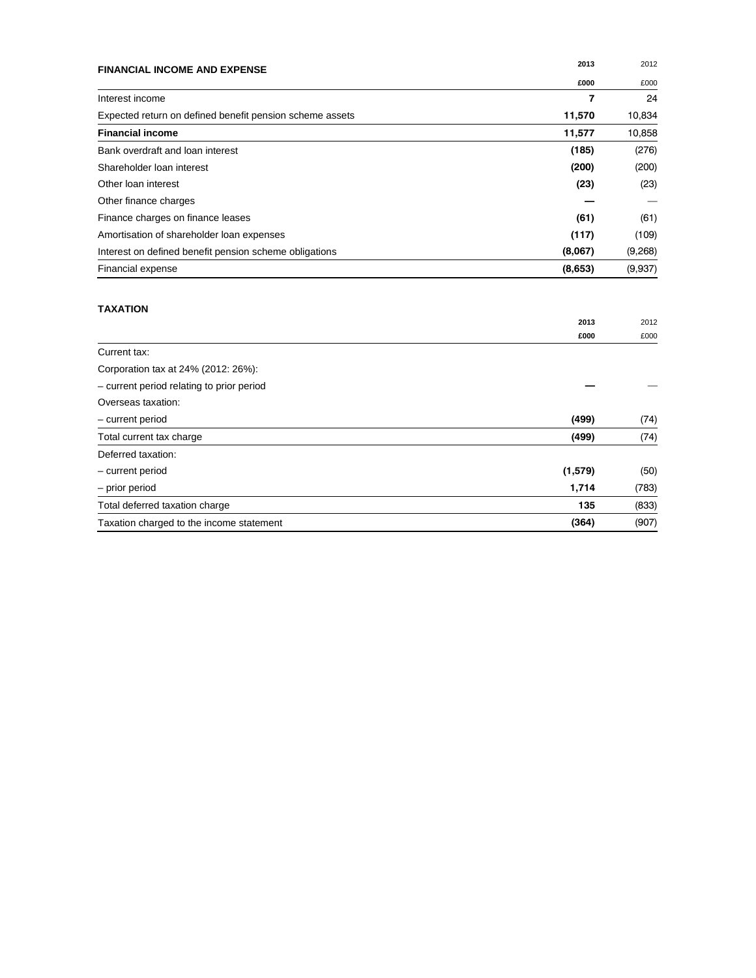| <b>FINANCIAL INCOME AND EXPENSE</b>                      | 2013           | 2012    |
|----------------------------------------------------------|----------------|---------|
|                                                          | £000           | £000    |
| Interest income                                          | $\overline{7}$ | 24      |
| Expected return on defined benefit pension scheme assets | 11,570         | 10,834  |
| <b>Financial income</b>                                  | 11,577         | 10,858  |
| Bank overdraft and loan interest                         | (185)          | (276)   |
| Shareholder Ioan interest                                | (200)          | (200)   |
| Other loan interest                                      | (23)           | (23)    |
| Other finance charges                                    |                |         |
| Finance charges on finance leases                        | (61)           | (61)    |
| Amortisation of shareholder loan expenses                | (117)          | (109)   |
| Interest on defined benefit pension scheme obligations   | (8,067)        | (9,268) |
| Financial expense                                        | (8,653)        | (9,937) |
| <b>TAXATION</b>                                          | 2013           | 2012    |
| Current tax:                                             | £000           | £000    |
| Corporation tax at 24% (2012: 26%):                      |                |         |
| - current period relating to prior period                |                |         |
| Overseas taxation:                                       |                |         |
| - current period                                         | (499)          | (74)    |
| Total current tax charge                                 | (499)          | (74)    |
| Deferred taxation:                                       |                |         |
| - current period                                         | (1,579)        | (50)    |
| - prior period                                           | 1,714          | (783)   |
| Total deferred taxation charge                           | 135            | (833)   |
| Taxation charged to the income statement                 | (364)          | (907)   |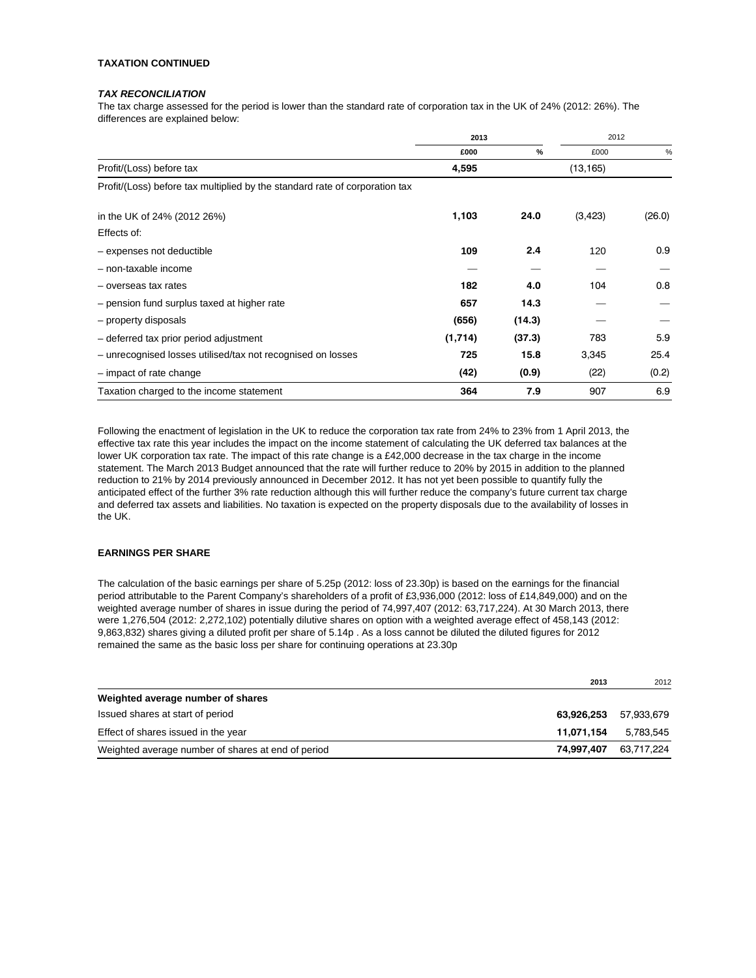### **TAXATION CONTINUED**

## *TAX RECONCILIATION*

The tax charge assessed for the period is lower than the standard rate of corporation tax in the UK of 24% (2012: 26%). The differences are explained below:

|                                                                             | 2013    |        | 2012      |               |
|-----------------------------------------------------------------------------|---------|--------|-----------|---------------|
|                                                                             | £000    | $\%$   | £000      | $\frac{0}{0}$ |
| Profit/(Loss) before tax                                                    | 4,595   |        | (13, 165) |               |
| Profit/(Loss) before tax multiplied by the standard rate of corporation tax |         |        |           |               |
| in the UK of 24% (2012 26%)                                                 | 1,103   | 24.0   | (3, 423)  | (26.0)        |
| Effects of:                                                                 |         |        |           |               |
| - expenses not deductible                                                   | 109     | 2.4    | 120       | 0.9           |
| - non-taxable income                                                        |         |        |           |               |
| - overseas tax rates                                                        | 182     | 4.0    | 104       | 0.8           |
| - pension fund surplus taxed at higher rate                                 | 657     | 14.3   |           |               |
| - property disposals                                                        | (656)   | (14.3) |           |               |
| - deferred tax prior period adjustment                                      | (1,714) | (37.3) | 783       | 5.9           |
| - unrecognised losses utilised/tax not recognised on losses                 | 725     | 15.8   | 3,345     | 25.4          |
| - impact of rate change                                                     | (42)    | (0.9)  | (22)      | (0.2)         |
| Taxation charged to the income statement                                    | 364     | 7.9    | 907       | 6.9           |

Following the enactment of legislation in the UK to reduce the corporation tax rate from 24% to 23% from 1 April 2013, the effective tax rate this year includes the impact on the income statement of calculating the UK deferred tax balances at the lower UK corporation tax rate. The impact of this rate change is a £42,000 decrease in the tax charge in the income statement. The March 2013 Budget announced that the rate will further reduce to 20% by 2015 in addition to the planned reduction to 21% by 2014 previously announced in December 2012. It has not yet been possible to quantify fully the anticipated effect of the further 3% rate reduction although this will further reduce the company's future current tax charge and deferred tax assets and liabilities. No taxation is expected on the property disposals due to the availability of losses in the UK.

## **EARNINGS PER SHARE**

The calculation of the basic earnings per share of 5.25p (2012: loss of 23.30p) is based on the earnings for the financial period attributable to the Parent Company's shareholders of a profit of £3,936,000 (2012: loss of £14,849,000) and on the weighted average number of shares in issue during the period of 74,997,407 (2012: 63,717,224). At 30 March 2013, there were 1,276,504 (2012: 2,272,102) potentially dilutive shares on option with a weighted average effect of 458,143 (2012: 9,863,832) shares giving a diluted profit per share of 5.14p . As a loss cannot be diluted the diluted figures for 2012 remained the same as the basic loss per share for continuing operations at 23.30p

|                                                                  | 2013 | 2012       |
|------------------------------------------------------------------|------|------------|
| Weighted average number of shares                                |      |            |
| Issued shares at start of period<br>63.926.253                   |      | 57.933.679 |
| Effect of shares issued in the year<br>11.071.154                |      | 5.783.545  |
| Weighted average number of shares at end of period<br>74.997.407 |      | 63,717,224 |